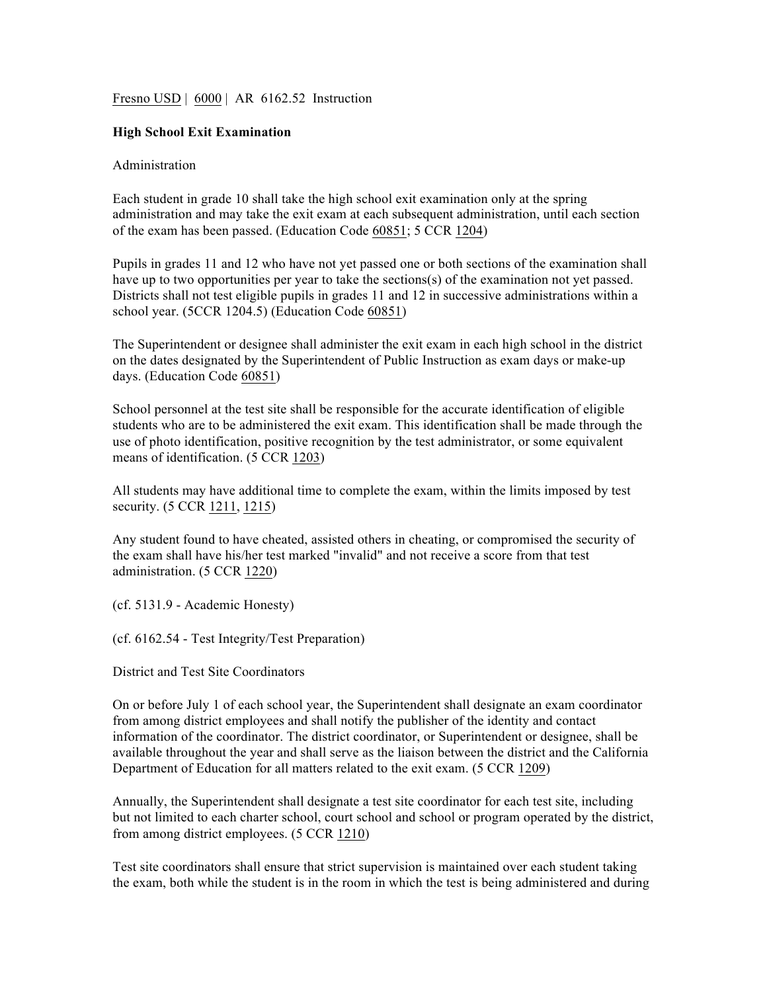Fresno USD | 6000 | AR 6162.52 Instruction

## **High School Exit Examination**

## Administration

Each student in grade 10 shall take the high school exit examination only at the spring administration and may take the exit exam at each subsequent administration, until each section of the exam has been passed. (Education Code 60851; 5 CCR 1204)

Pupils in grades 11 and 12 who have not yet passed one or both sections of the examination shall have up to two opportunities per year to take the sections(s) of the examination not yet passed. Districts shall not test eligible pupils in grades 11 and 12 in successive administrations within a school year. (5CCR 1204.5) (Education Code 60851)

The Superintendent or designee shall administer the exit exam in each high school in the district on the dates designated by the Superintendent of Public Instruction as exam days or make-up days. (Education Code 60851)

School personnel at the test site shall be responsible for the accurate identification of eligible students who are to be administered the exit exam. This identification shall be made through the use of photo identification, positive recognition by the test administrator, or some equivalent means of identification. (5 CCR 1203)

All students may have additional time to complete the exam, within the limits imposed by test security. (5 CCR 1211, 1215)

Any student found to have cheated, assisted others in cheating, or compromised the security of the exam shall have his/her test marked "invalid" and not receive a score from that test administration. (5 CCR 1220)

(cf. 5131.9 - Academic Honesty)

(cf. 6162.54 - Test Integrity/Test Preparation)

District and Test Site Coordinators

On or before July 1 of each school year, the Superintendent shall designate an exam coordinator from among district employees and shall notify the publisher of the identity and contact information of the coordinator. The district coordinator, or Superintendent or designee, shall be available throughout the year and shall serve as the liaison between the district and the California Department of Education for all matters related to the exit exam. (5 CCR 1209)

Annually, the Superintendent shall designate a test site coordinator for each test site, including but not limited to each charter school, court school and school or program operated by the district, from among district employees. (5 CCR 1210)

Test site coordinators shall ensure that strict supervision is maintained over each student taking the exam, both while the student is in the room in which the test is being administered and during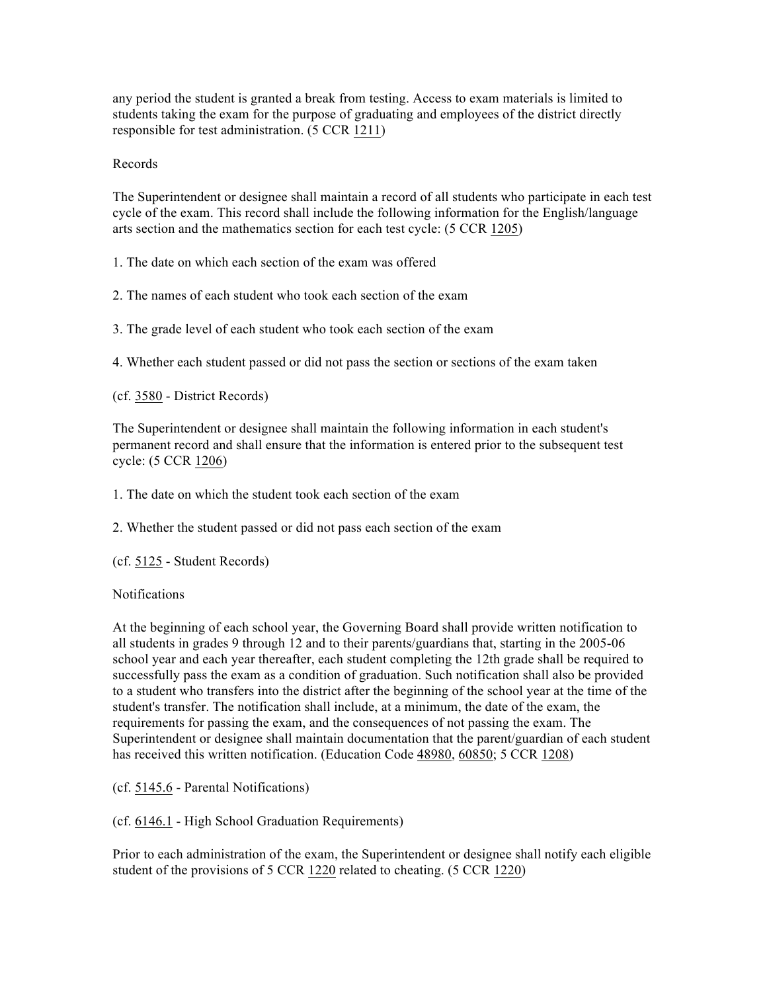any period the student is granted a break from testing. Access to exam materials is limited to students taking the exam for the purpose of graduating and employees of the district directly responsible for test administration. (5 CCR 1211)

## Records

The Superintendent or designee shall maintain a record of all students who participate in each test cycle of the exam. This record shall include the following information for the English/language arts section and the mathematics section for each test cycle: (5 CCR 1205)

1. The date on which each section of the exam was offered

2. The names of each student who took each section of the exam

3. The grade level of each student who took each section of the exam

4. Whether each student passed or did not pass the section or sections of the exam taken

(cf. 3580 - District Records)

The Superintendent or designee shall maintain the following information in each student's permanent record and shall ensure that the information is entered prior to the subsequent test cycle: (5 CCR 1206)

1. The date on which the student took each section of the exam

2. Whether the student passed or did not pass each section of the exam

(cf. 5125 - Student Records)

**Notifications** 

At the beginning of each school year, the Governing Board shall provide written notification to all students in grades 9 through 12 and to their parents/guardians that, starting in the 2005-06 school year and each year thereafter, each student completing the 12th grade shall be required to successfully pass the exam as a condition of graduation. Such notification shall also be provided to a student who transfers into the district after the beginning of the school year at the time of the student's transfer. The notification shall include, at a minimum, the date of the exam, the requirements for passing the exam, and the consequences of not passing the exam. The Superintendent or designee shall maintain documentation that the parent/guardian of each student has received this written notification. (Education Code 48980, 60850; 5 CCR 1208)

(cf. 5145.6 - Parental Notifications)

(cf. 6146.1 - High School Graduation Requirements)

Prior to each administration of the exam, the Superintendent or designee shall notify each eligible student of the provisions of 5 CCR 1220 related to cheating. (5 CCR 1220)